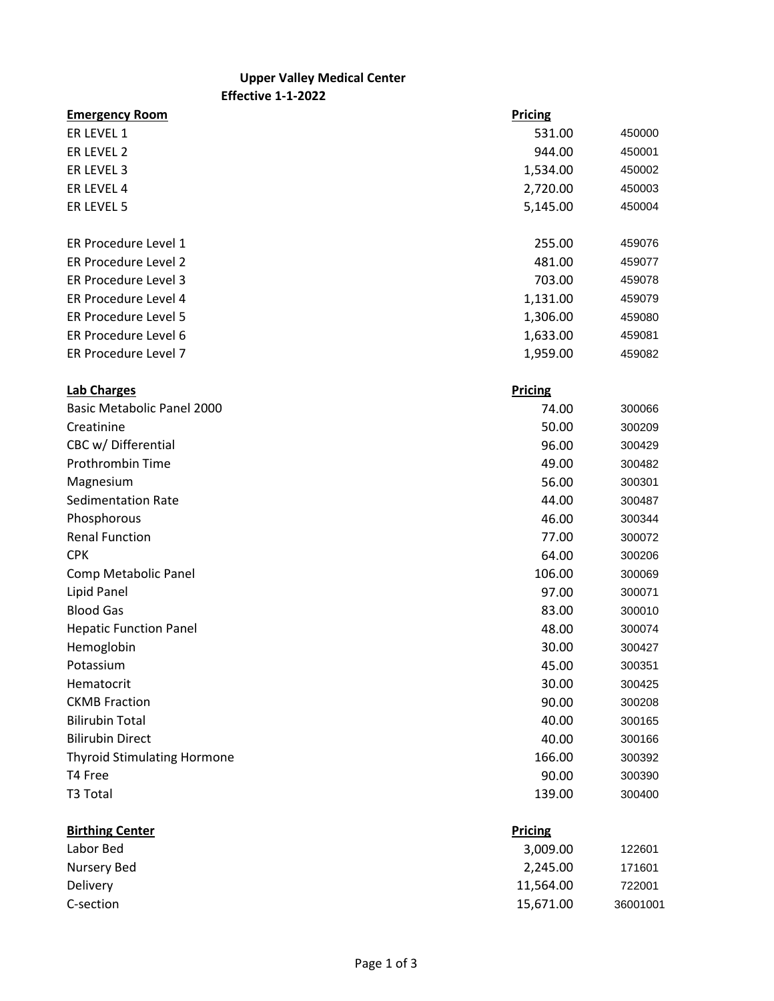## **Effective 1-1-2022 Upper Valley Medical Center**

**Emergency Room Pricing** ER LEVEL 1 450000 ER LEVEL 2 450001 ER LEVEL 3 1,534.00 450002 ER LEVEL 4 2,720.00 450003 ER LEVEL 5 450004 ER Procedure Level 1 255.00 459076 ER Procedure Level 2 and 2 481.00 459077 ER Procedure Level 3 703.00 459078 ER Procedure Level 4 1,131.00 459079 ER Procedure Level 5 1,306.00 459080 ER Procedure Level 6 1,633.00 459081 ER Procedure Level 7 1,959.00 459082 **Lab Charges Pricing** Basic Metabolic Panel 2000 74.00 300066 Creatinine 300209 CBC w/ Differential 300429 Prothrombin Time 300482 Magnesium 300301 Sedimentation Rate **44.00** 300487 Phosphorous 300344 and 200 and 200 and 200 and 200 and 200 and 200 and 200 and 200 and 200 and 200 and 200 and 200 and 200 and 200 and 200 and 200 and 200 and 200 and 200 and 200 and 200 and 200 and 200 and 200 and 200 and Renal Function 77.00 300072 CPK 64.00 300206 Comp Metabolic Panel 106.00 300069 Lipid Panel 97.00 300071 Blood Gas 300010 300010 300010 300010 300010 300010 300010 300010 300010 300010 Hepatic Function Panel **48.00** 300074 Hemoglobin 30.00 300427 Potassium 300351 Hematocrit 30.00 300425 CKMB Fraction 90.00 300208 Bilirubin Total 40.00 300165 Bilirubin Direct 40.00 300166 Thyroid Stimulating Hormone 166.00 300392 T4 Free 300390 T3 Total 139.00 300400

## **Birthing Center Pricing** Labor Bed 3,009.00 122601 Nursery Bed 2,245.00 171601 Delivery 11,564.00 722001 C-section 15,671.00 36001001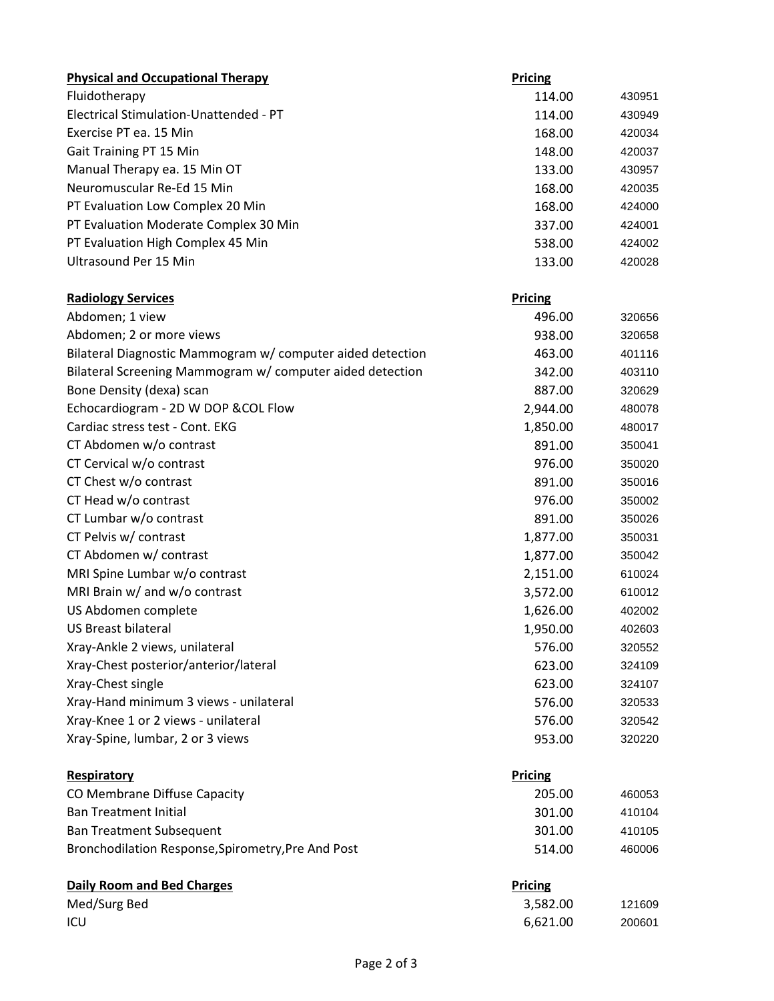| <b>Physical and Occupational Therapy</b>                   | Pricing        |        |
|------------------------------------------------------------|----------------|--------|
| Fluidotherapy                                              | 114.00         | 430951 |
| Electrical Stimulation-Unattended - PT                     | 114.00         | 430949 |
| Exercise PT ea. 15 Min                                     | 168.00         | 420034 |
| Gait Training PT 15 Min                                    | 148.00         | 420037 |
| Manual Therapy ea. 15 Min OT                               | 133.00         | 430957 |
| Neuromuscular Re-Ed 15 Min                                 | 168.00         | 420035 |
| PT Evaluation Low Complex 20 Min                           | 168.00         | 424000 |
| PT Evaluation Moderate Complex 30 Min                      | 337.00         | 424001 |
| PT Evaluation High Complex 45 Min                          | 538.00         | 424002 |
| Ultrasound Per 15 Min                                      | 133.00         | 420028 |
| <b>Radiology Services</b>                                  | <b>Pricing</b> |        |
| Abdomen; 1 view                                            | 496.00         | 320656 |
| Abdomen; 2 or more views                                   | 938.00         | 320658 |
| Bilateral Diagnostic Mammogram w/ computer aided detection | 463.00         | 401116 |
| Bilateral Screening Mammogram w/ computer aided detection  | 342.00         | 403110 |
| Bone Density (dexa) scan                                   | 887.00         | 320629 |
| Echocardiogram - 2D W DOP & COL Flow                       | 2,944.00       | 480078 |
| Cardiac stress test - Cont. EKG                            | 1,850.00       | 480017 |
| CT Abdomen w/o contrast                                    | 891.00         | 350041 |
| CT Cervical w/o contrast                                   | 976.00         | 350020 |
| CT Chest w/o contrast                                      | 891.00         | 350016 |
| CT Head w/o contrast                                       | 976.00         | 350002 |
| CT Lumbar w/o contrast                                     | 891.00         | 350026 |
| CT Pelvis w/ contrast                                      | 1,877.00       | 350031 |
| CT Abdomen w/ contrast                                     | 1,877.00       | 350042 |
| MRI Spine Lumbar w/o contrast                              | 2,151.00       | 610024 |
| MRI Brain w/ and w/o contrast                              | 3,572.00       | 610012 |
| US Abdomen complete                                        | 1,626.00       | 402002 |
| <b>US Breast bilateral</b>                                 | 1,950.00       | 402603 |
| Xray-Ankle 2 views, unilateral                             | 576.00         | 320552 |
| Xray-Chest posterior/anterior/lateral                      | 623.00         | 324109 |
| Xray-Chest single                                          | 623.00         | 324107 |
| Xray-Hand minimum 3 views - unilateral                     | 576.00         | 320533 |
| Xray-Knee 1 or 2 views - unilateral                        | 576.00         | 320542 |
| Xray-Spine, lumbar, 2 or 3 views                           | 953.00         | 320220 |
| Respiratory                                                | Pricing        |        |
| CO Membrane Diffuse Capacity                               | 205.00         | 460053 |
| <b>Ban Treatment Initial</b>                               | 301.00         | 410104 |
| <b>Ban Treatment Subsequent</b>                            | 301.00         | 410105 |
| Bronchodilation Response, Spirometry, Pre And Post         | 514.00         | 460006 |
| <b>Daily Room and Bed Charges</b>                          | <b>Pricing</b> |        |
| Med/Surg Bed                                               | 3,582.00       | 121609 |
| ICU                                                        | 6,621.00       | 200601 |